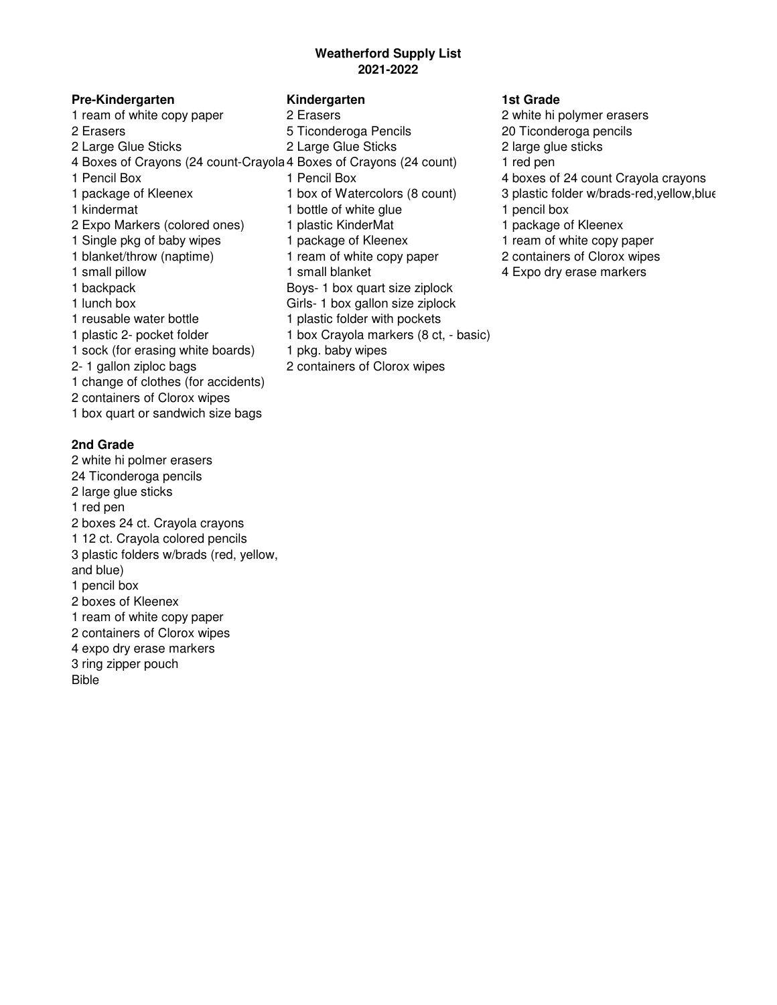## **Weatherford Supply List 2021-2022**

### **Pre-Kindergarten Kindergarten 1st Grade**

2 Erasers 5 Ticonderoga Pencils 20 Ticonderoga pencils 2 Large Glue Sticks 2 Large Glue Sticks 2 large glue sticks 4 Boxes of Crayons (24 count-Crayola 4 Boxes of Crayons (24 count) 1 red pen 1 Pencil Box 1 Pencil Box 4 boxes of 24 count Crayola crayons 1 kindermat 1 bottle of white glue 1 pencil box 2 Expo Markers (colored ones) 1 plastic KinderMat 1 package of Kleenex 1 Single pkg of baby wipes 1 package of Kleenex 1 ream of white copy paper 1 blanket/throw (naptime) 1 ream of white copy paper 2 containers of Clorox wipes 1 small pillow 1 small blanket 4 Expo dry erase markers 1 backpack Boys- 1 box quart size ziplock 1 lunch box Girls- 1 box gallon size ziplock 1 reusable water bottle 1 plastic folder with pockets 1 plastic 2- pocket folder 1 box Crayola markers (8 ct, - basic) 1 sock (for erasing white boards) 1 pkg. baby wipes 2- 1 gallon ziploc bags 2 containers of Clorox wipes 1 change of clothes (for accidents) 2 containers of Clorox wipes 1 box quart or sandwich size bags

### **2nd Grade**

2 white hi polmer erasers 24 Ticonderoga pencils 2 large glue sticks 1 red pen 2 boxes 24 ct. Crayola crayons 1 12 ct. Crayola colored pencils 3 plastic folders w/brads (red, yellow, and blue) 1 pencil box 2 boxes of Kleenex 1 ream of white copy paper 2 containers of Clorox wipes 4 expo dry erase markers 3 ring zipper pouch Bible

- 1 ream of white copy paper 2 Erasers 2 white hi polymer erasers
	-
	-

- 
- 
- 
- 
- 
- 1 package of Kleenex 1 box of Watercolors (8 count) 3 plastic folder w/brads-red,yellow,blue
	-
	-
	-
	-
	-